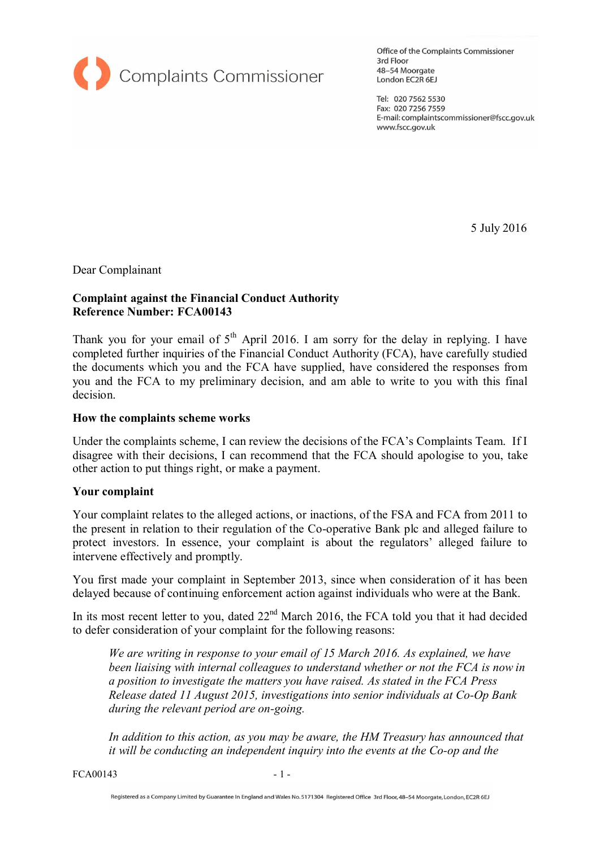

Office of the Complaints Commissioner 3rd Floor 48-54 Moorgate London EC2R 6EJ

Tel: 020 7562 5530 Fax: 020 7256 7559 E-mail: complaintscommissioner@fscc.gov.uk www.fscc.gov.uk

5 July 2016

Dear Complainant

#### **Complaint against the Financial Conduct Authority Reference Number: FCA00143**

Thank you for your email of  $5<sup>th</sup>$  April 2016. I am sorry for the delay in replying. I have completed further inquiries of the Financial Conduct Authority (FCA), have carefully studied the documents which you and the FCA have supplied, have considered the responses from you and the FCA to my preliminary decision, and am able to write to you with this final decision.

#### **How the complaints scheme works**

Under the complaints scheme, I can review the decisions of the FCA's Complaints Team. If I disagree with their decisions, I can recommend that the FCA should apologise to you, take other action to put things right, or make a payment.

#### **Your complaint**

Your complaint relates to the alleged actions, or inactions, of the FSA and FCA from 2011 to the present in relation to their regulation of the Co-operative Bank plc and alleged failure to protect investors. In essence, your complaint is about the regulators' alleged failure to intervene effectively and promptly.

You first made your complaint in September 2013, since when consideration of it has been delayed because of continuing enforcement action against individuals who were at the Bank.

In its most recent letter to you, dated  $22<sup>nd</sup>$  March 2016, the FCA told you that it had decided to defer consideration of your complaint for the following reasons:

*We are writing in response to your email of 15 March 2016. As explained, we have been liaising with internal colleagues to understand whether or not the FCA is now in a position to investigate the matters you have raised. As stated in the FCA Press Release dated 11 August 2015, investigations into senior individuals at Co-Op Bank during the relevant period are on-going.* 

*In addition to this action, as you may be aware, the HM Treasury has announced that it will be conducting an independent inquiry into the events at the Co-op and the* 

FCA00143 - 1 -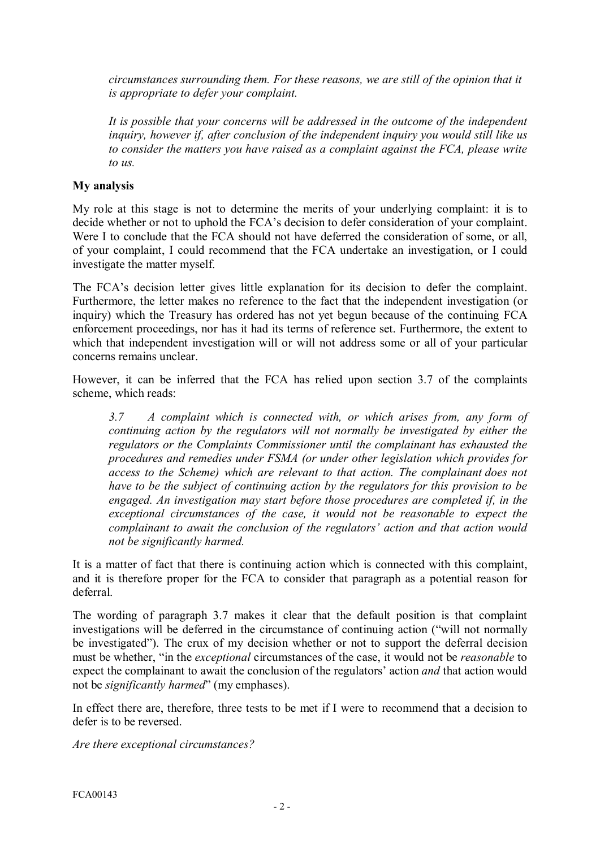*circumstances surrounding them. For these reasons, we are still of the opinion that it is appropriate to defer your complaint.* 

*It is possible that your concerns will be addressed in the outcome of the independent inquiry, however if, after conclusion of the independent inquiry you would still like us to consider the matters you have raised as a complaint against the FCA, please write to us.*

# **My analysis**

My role at this stage is not to determine the merits of your underlying complaint: it is to decide whether or not to uphold the FCA's decision to defer consideration of your complaint. My role at this stage is not to determine the merits of your underlying complaint: it is to decide whether or not to uphold the FCA's decision to defer consideration of your complaint.<br>Were I to conclude that the FCA shoul of your complaint, I could recommend that the FCA undertake an investigation, or I could investigate the matter myself.

The FCA's decision letter gives little explanation for its decision to defer the complaint. Furthermore, the letter makes no reference to the fact that the independent investigation (or inquiry) which the Treasury has ordered has not yet begun because of the continuing FCA enforcement proceedings, nor has it had inquiry) which the Treasury has ordered has not yet begun because of the continuing FCA which that independent investigation will or will not address some or all of your particular enforcement proceedings, nor has it had its terms of reference set. Furthermore, the extent to which that independent investigation will or will not address some or all of your particular concerns remains unclear

However, it can be inferred that the FCA has relied upon section 3.7 of the complaints scheme, which reads:

*3.7 A complaint which is connected with, or which arises from, any form of continuing action by the regulators will not normally be investigated by either the regulators or the Complaints Commissioner until the complainant has exhausted the*<br>procedures and remedies under FSMA (or under other legislation which provides for<br>access to the Scheme) which are relevant to that action. *procedures and remedies under FSMA (or under other legislation which provides for have to be the subject of continuing action by the regulators for this provision to be engaged. An investigation may start before those procedures are completed if, in the exceptional circumstances of the case, it would not be reasonable to expect the complainant to await the conclusion of the regulators' action and that action would not be significantly harmed.*

It is a matter of fact that there is continuing action which is connected with this complaint, and it is therefore proper for the FCA to consider that paragraph as a potential reason for deferral.

The wording of paragraph 3.7 makes it clear that the default position is that complaint investigations will be deferred in the circumstance of continuing action ("will not normally be investigated"). The crux of my decision whether or not to support the deferral decision must be whether, "in the *exceptional* circumstances of the case, it would not be *reasonable* to expect the complainant to await the conclusion of the regulators' action *and* that action would not be *significantly harmed*" (my emphases).

In effect there are, therefore, three tests to be met if I were to recommend that a decision to defer is to be reversed.

*Are there exceptional circumstances?*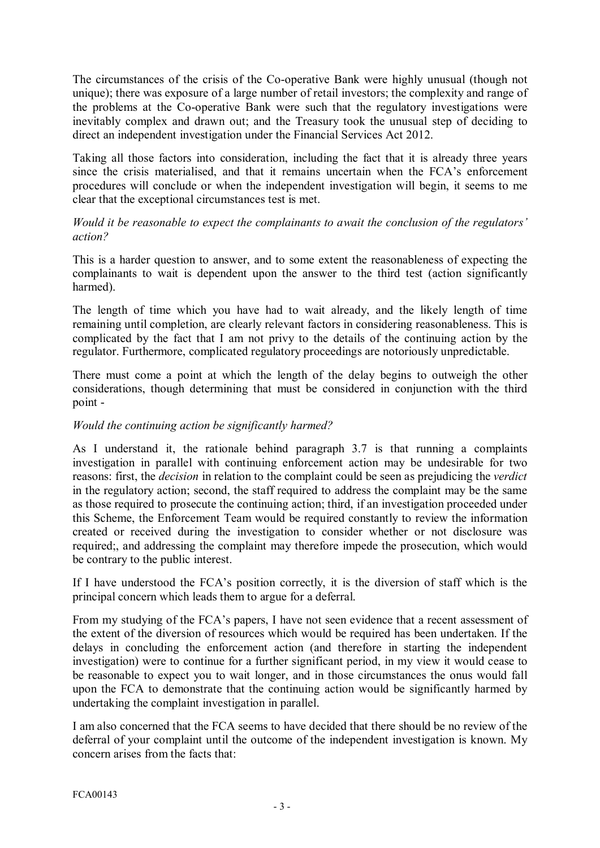The circumstances of the crisis of the Co-operative Bank were highly unusual (though not unique); there was exposure of a large number of retail investors; the complexity and range of the problems at the Co-operative Bank were such that the regulatory investigations were inevitably complex and drawn out; and the Treasury took the unusual step of deciding to direct an independent investigation under the Financial Services Act 2012.

Taking all those factors into consideration, including the fact that it is already three years since the crisis materialised, and that it remains uncertain when the FCA's enforcement procedures will conclude or when the independent investigation will begin, it seems to me clear that the exceptional circumstances test is met.

### *Would it be reasonable to expect the complainants to await the conclusion of the regulators' action?*

This is a harder question to answer, and to some extent the reasonableness of expecting the complainants to wait is dependent upon the answer to the third test (action significantly harmed).

The length of time which you have had to wait already, and the likely length of time remaining until completion, are clearly relevant factors in considering reasonableness. This is complicated by the fact that I am not privy to the details of the continuing action by the regulator. Furthermore, complicated regulatory proceedings are notoriously unpredictable.

There must come a point at which the length of the delay begins to outweigh the other considerations, though determining that must be considered in conjunction with the third point -

# *Would the continuing action be significantly harmed?*

As I understand it, the rationale behind paragraph 3.7 is that running a complaints investigation in parallel with continuing enforcement action may be undesirable for two reasons: first, the *decision* in relation to the complaint could be seen as prejudicing the *verdict* in the regulatory action; second, the staff required to address the complaint may be the same as those required to prosecute the continuing action; third, if an investigation proceeded under this Scheme, the Enforcement Team would be required constantly to review the information created or received during the investigation to consider whether or not disclosure was required;, and addressing the complaint may therefore impede the prosecution, which would be contrary to the public interest.

If I have understood the FCA's position correctly, it is the diversion of staff which is the principal concern which leads them to argue for a deferral.

From my studying of the FCA's papers, I have not seen evidence that a recent assessment of the extent of the diversion of resources which would be required has been undertaken. If the delays in concluding the enforcement action (and therefore in starting the independent the extent of the diversion of resources which would be required has been undertaken. If the delays in concluding the enforcement action (and therefore in starting the independent investigation) were to continue for a furt delays in concluding the enforcement action (and therefore in starting the independent<br>investigation) were to continue for a further significant period, in my view it would cease to<br>be reasonable to expect you to wait long upon the FCA to demonstrate that the continuing action would be significantly harmed by undertaking the complaint investigation in parallel.

I am also concerned that the FCA seems to have decided that there should be no review of the deferral of your complaint until the outcome of the independent investigation is known. My concern arises from the facts that: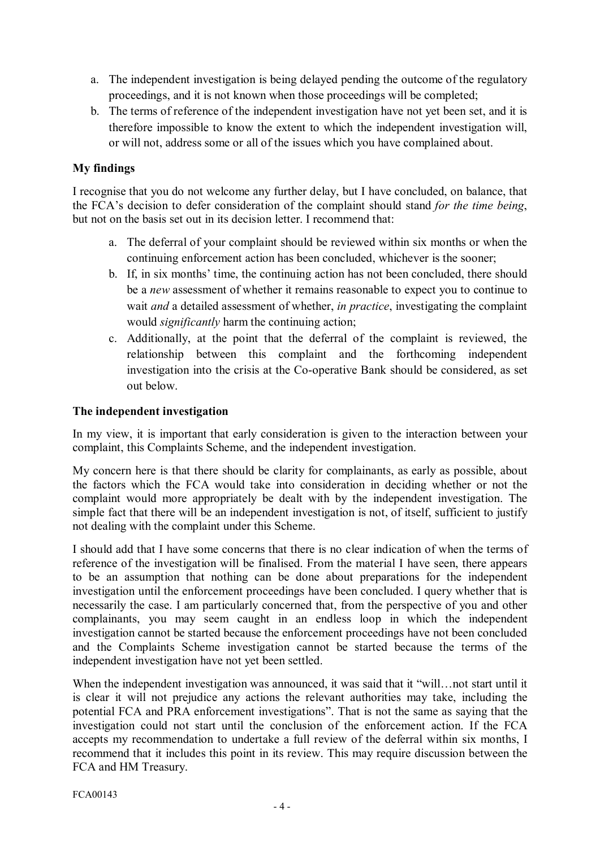- a. The independent investigation is being delayed pending the outcome of the regulatory proceedings, and it is not known when those proceedings will be completed;
- b. The terms of reference of the independent investigation have not yet been set, and it is therefore impossible to know the extent to which the independent investigation will, or will not, address some or all of the issues which you have complained about.

# **My findings**

I recognise that you do not welcome any further delay, but I have concluded, on balance, that the FCA's decision to defer consideration of the complaint should stand *for the time being*, but not on the basis set out in its decision letter. I recommend that:

- a. The deferral of your complaint should be reviewed within six months or when the continuing enforcement action has been concluded, whichever is the sooner; a. The deferral of your complaint should be reviewed within six months or when the continuing enforcement action has been concluded, whichever is the sooner;<br>b. If, in six months' time, the continuing action has not been c
- continuing enforcement action has been concluded, whichever is the sooner;<br>If, in six months' time, the continuing action has not been concluded, there should<br>be a *new* assessment of whether it remains reasonable to expec wait *and* a detailed assessment of whether, *in practice*, investigating the complaint would *significantly* harm the continuing action;
- c. Additionally, at the point that the deferral of the complaint is reviewed, the relationship between this complaint and the forthcoming independent investigation into the crisis at the Co-operative Bank should be considered, as set out below.

### **The independent investigation**

In my view, it is important that early consideration is given to the interaction between your complaint, this Complaints Scheme, and the independent investigation.

My concern here is that there should be clarity for complainants, as early as possible, about the factors which the FCA would take into consideration in deciding whether or not the complaint would more appropriately be dealt with by the independent investigation. The simple fact that there will be an independent investigation is not, of itself, sufficient to justify not dealing with the complaint under this Scheme.

I should add that I have some concerns that there is no clear indication of when the terms of reference of the investigation will be finalised. From the material I have seen, there appears to be an assumption that nothing can be done about preparations for the independent investigation until the enforcement proceedings have been concluded. I query whether that is necessarily the case. I am particularly concerned that, from the perspective of you and other complainants, you may seem caught in an endless loop in which the independent investigation cannot be started because the enforcement proceedings have not been concluded and the Complaints Scheme investigation cannot be started because the terms of the independent investigation have not yet been settled.

When the independent investigation was announced, it was said that it "will... not start until it is clear it will not prejudice any actions the relevant authorities may take, including the potential FCA and PRA enforcement investigations". That is not the same as saying that the investigation could not start until the conclusion of the enforcement action. If the FCA accepts my recommendation to undertake a full review of the deferral within six months, I recommend that it includes this point in its review. This may require discussion between the FCA and HM Treasury.